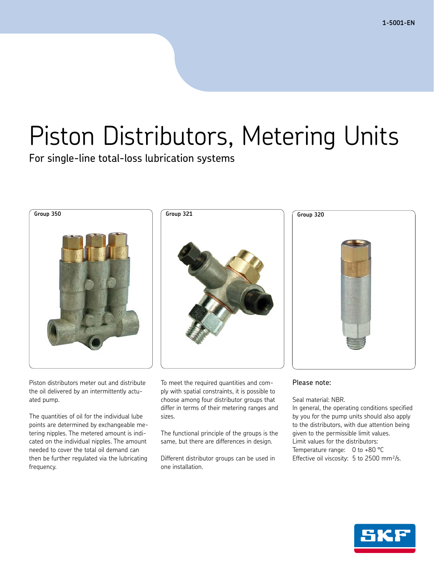**1-5001-EN**

# Piston Distributors, Metering Units

For single-line total-loss lubrication systems



Piston distributors meter out and distribute the oil delivered by an intermittently actuated pump.

The quantities of oil for the individual lube points are determined by exchangeable metering nipples. The metered amount is indicated on the individual nipples. The amount needed to cover the total oil demand can then be further regulated via the lubricating frequency.



To meet the required quantities and comply with spatial constraints, it is possible to choose among four distributor groups that differ in terms of their metering ranges and sizes.

The functional principle of the groups is the same, but there are differences in design.

Different distributor groups can be used in one installation.



#### Please note:

Seal material: NBR.

In general, the operating conditions specified by you for the pump units should also apply to the distributors, with due attention being given to the permissible limit values. Limit values for the distributors: Temperature range: 0 to +80 °C Effective oil viscosity: 5 to 2500 mm²/s.

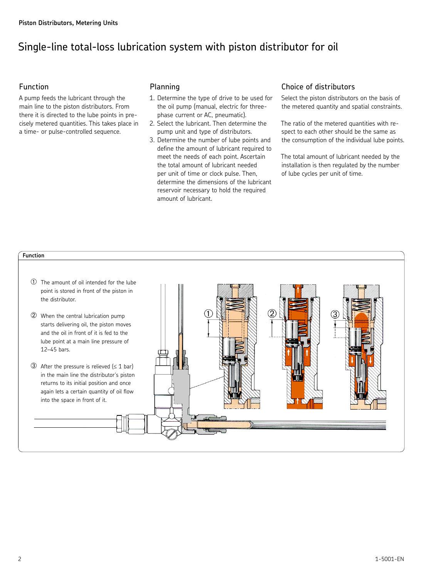## Single-line total-loss lubrication system with piston distributor for oil

#### Function

A pump feeds the lubricant through the main line to the piston distributors. From there it is directed to the lube points in precisely metered quantities. This takes place in a time- or pulse-controlled sequence.

#### Planning

- 1. Determine the type of drive to be used for the oil pump (manual, electric for threephase current or AC, pneumatic).
- 2. Select the lubricant. Then determine the pump unit and type of distributors.
- 3. Determine the number of lube points and define the amount of lubricant required to meet the needs of each point. Ascertain the total amount of lubricant needed per unit of time or clock pulse. Then, determine the dimensions of the lubricant reservoir necessary to hold the required amount of lubricant.

#### Choice of distributors

Select the piston distributors on the basis of the metered quantity and spatial constraints.

The ratio of the metered quantities with respect to each other should be the same as the consumption of the individual lube points.

The total amount of lubricant needed by the installation is then regulated by the number of lube cycles per unit of time.

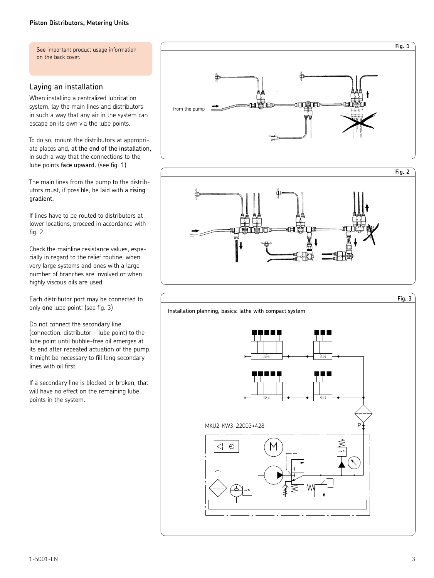See important product usage information on the back cover.

#### Laying an installation

When installing a centralized lubrication system, lay the main lines and distributors in such a way that any air in the system can escape on its own via the lube points.

To do so, mount the distributors at appropriate places and, at the end of the installation, in such a way that the connections to the lube points face upward. (see fig. 1)

The main lines from the pump to the distributors must, if possible, be laid with a rising gradient.

If lines have to be routed to distributors at lower locations, proceed in accordance with fig. 2.

Check the mainline resistance values, especially in regard to the relief routine, when very large systems and ones with a large number of branches are involved or when highly viscous oils are used.

Each distributor port may be connected to only one lube point! (see fig. 3)

Do not connect the secondary line (connection: distributor – lube point) to the lube point until bubble-free oil emerges at its end after repeated actuation of the pump. It might be necessary to fill long secondary lines with oil first.

If a secondary line is blocked or broken, that will have no effect on the remaining lube points in the system.



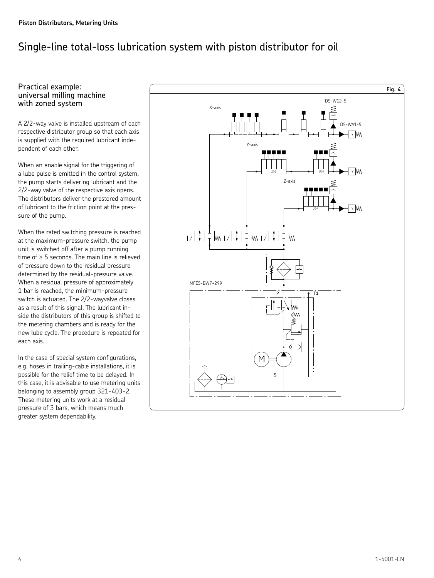## Single-line total-loss lubrication system with piston distributor for oil

#### Practical example: universal milling machine with zoned system

A 2/2-way valve is installed upstream of each respective distributor group so that each axis is supplied with the required lubricant independent of each other.

When an enable signal for the triggering of a lube pulse is emitted in the control system, the pump starts delivering lubricant and the 2/2-way valve of the respective axis opens. The distributors deliver the prestored amount of lubricant to the friction point at the pressure of the pump.

When the rated switching pressure is reached at the maximum-pressure switch, the pump unit is switched off after a pump running time of ≥ 5 seconds. The main line is relieved of pressure down to the residual pressure determined by the residual-pressure valve. When a residual pressure of approximately 1 bar is reached, the minimum-pressure switch is actuated. The 2/2-wayvalve closes as a result of this signal. The lubricant inside the distributors of this group is shifted to the metering chambers and is ready for the new lube cycle. The procedure is repeated for each axis.

In the case of special system configurations, e.g. hoses in trailing-cable installations, it is possible for the relief time to be delayed. In this case, it is advisable to use metering units belonging to assembly group 321-403-2. These metering units work at a residual pressure of 3 bars, which means much greater system dependability.

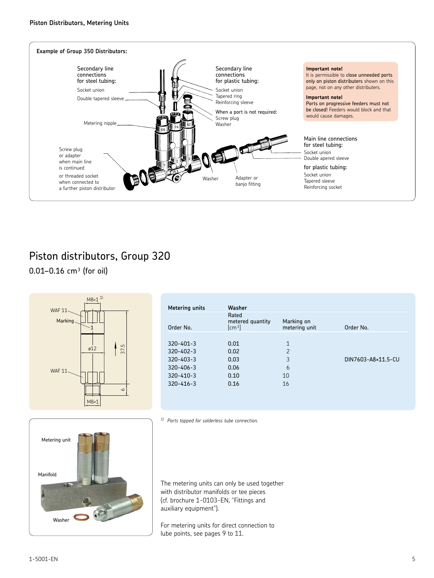

 $0.01 - 0.16$  cm<sup>3</sup> (for oil)



| Washer                                                         |                             |                    |
|----------------------------------------------------------------|-----------------------------|--------------------|
| Rated<br>metered quantity<br>$\lceil$ cm <sup>3</sup> $\rceil$ | Marking on<br>metering unit | Order No.          |
|                                                                |                             |                    |
| 0.01                                                           | $\mathbf{1}$                |                    |
| 0.02                                                           | $\overline{2}$              |                    |
| 0.03                                                           | 3                           | DIN7603-A8×11.5-CU |
| 0.06                                                           | 6                           |                    |
| 0.10                                                           | 10                          |                    |
| 0.16                                                           | 16                          |                    |
|                                                                |                             |                    |
|                                                                |                             |                    |



*1) Ports tapped for solderless tube connection.*

The metering units can only be used together with distributor manifolds or tee pieces (cf. brochure 1-0103-EN, "Fittings and auxiliary equipment").

For metering units for direct connection to lube points, see pages 9 to 11.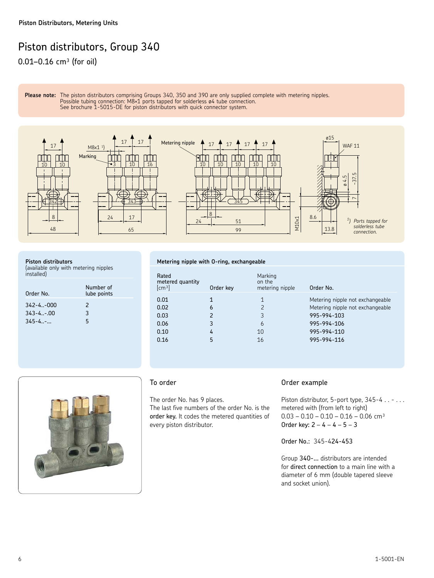$0.01 - 0.16$  cm<sup>3</sup> (for oil)

**Please note:** The piston distributors comprising Groups 340, 350 and 390 are only supplied complete with metering nipples. **Possible tubing connection: M8×1 ports tapped for solderless ø4 tube connection.** See brochure 1-5015-DE for piston distributors with quick connector system.



#### **Piston distributors**

(available only with metering nipples installed)

| Order No.       | Number of<br>lube points |
|-----------------|--------------------------|
| $342 - 4 - 000$ | $\mathcal{P}$            |
| $343 - 4 - .00$ | 3                        |
| $345 - 4$       | 5                        |

#### **Metering nipple with O-ring, exchangeable**

| Rated<br>metered quantity<br>$\lceil$ cm <sup>3</sup> $\rceil$ | Order key   | Marking<br>on the<br>metering nipple | Order No.                                                                                                         |
|----------------------------------------------------------------|-------------|--------------------------------------|-------------------------------------------------------------------------------------------------------------------|
| 0.01<br>0.02<br>0.03<br>0.06<br>0.10                           | 6<br>3<br>4 | 1<br>3<br>6<br>10                    | Metering nipple not exchangeable<br>Metering nipple not exchangeable<br>995-994-103<br>995-994-106<br>995-994-110 |
| 0.16                                                           |             | 16                                   | 995-994-116                                                                                                       |



#### To order

The order No. has 9 places. The last five numbers of the order No. is the order key. It codes the metered quantities of every piston distributor.

#### Order example

Piston distributor, 5-port type, 345-4 . . - . . . metered with (from left to right)  $0.03 - 0.10 - 0.10 - 0.16 - 0.06$  cm<sup>3</sup> Order key: 2 – 4 – 4 – 5 – 3

Order No.: 345-424-453

Group 340-... distributors are intended for direct connection to a main line with a diameter of 6 mm (double tapered sleeve and socket union).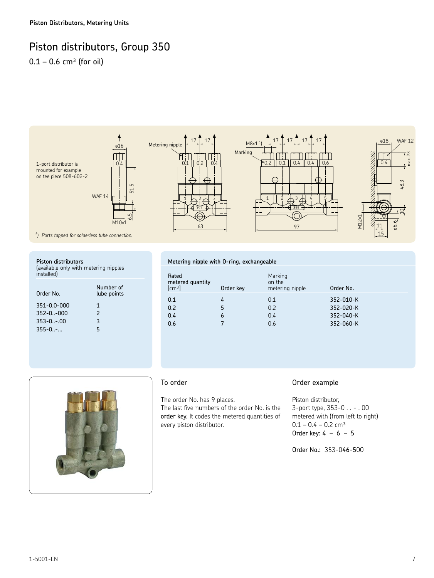$0.1 - 0.6$  cm<sup>3</sup> (for oil)



#### **Piston distributors**

(available only with metering nipples installed)

| Order No.       | Number of<br>lube points |
|-----------------|--------------------------|
| 351-0.0-000     | 1                        |
| $352 - 0. -000$ | $\mathcal{P}$            |
| $353 - 0 - .00$ | 3                        |
| $355 - 0 -$     | 5                        |

#### **Metering nipple with O-ring, exchangeable**

| Rated<br>metered quantity<br>$\lceil$ cm <sup>3</sup> $\rceil$ | Order key | Marking<br>on the<br>metering nipple | Order No.                           |
|----------------------------------------------------------------|-----------|--------------------------------------|-------------------------------------|
| 0.1<br>0.2<br>0.4                                              | 5<br>6    | 0.1<br>0.2<br>0.4                    | 352-010-K<br>352-020-K<br>352-040-K |
| 0.6                                                            |           | 0.6                                  | 352-060-K                           |



#### To order

The order No. has 9 places. The last five numbers of the order No. is the order key. It codes the metered quantities of every piston distributor.

#### Order example

Piston distributor, 3-port type, 353-0 . . - . 00 metered with (from left to right)  $0.1 - 0.4 - 0.2$  cm<sup>3</sup> Order key:  $4 - 6 - 5$ 

Order No.: 353-046-500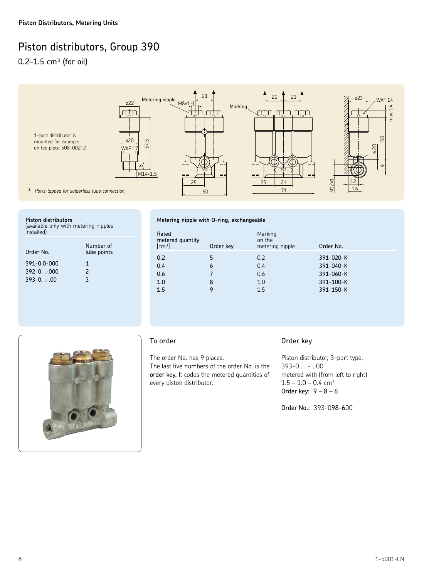0.2–1.5  $cm<sup>3</sup>$  (for oil)



| Piston distributors |  |
|---------------------|--|
|                     |  |

(available only with metering nipples installed)

| Order No.       | Number of<br>lube points |
|-----------------|--------------------------|
| 391-0.0-000     | 1                        |
| $392 - 0. -000$ | $\mathcal{P}$            |
| $393 - 0. - 00$ | 3                        |

#### **Metering nipple with O-ring, exchangeable**

| Rated<br>metered quantity<br>[cm <sup>3</sup> ] | Order key | Marking<br>on the<br>metering nipple | Order No. |
|-------------------------------------------------|-----------|--------------------------------------|-----------|
| 0.2                                             | 5         | 0.2                                  | 391-020-K |
| 0.4                                             | 6         | 0.4                                  | 391-040-K |
| 0.6                                             |           | 0.6                                  | 391-060-K |
| 1.0                                             | 8         | 1.0                                  | 391-100-K |
| 1.5                                             | 9         | 1.5                                  | 391-150-K |
|                                                 |           |                                      |           |



#### To order

The order No. has 9 places.

The last five numbers of the order No. is the order key. It codes the metered quantities of every piston distributor.

#### Order key

Piston distributor, 3-port type,  $393-0$  . . - . 00 metered with (from left to right)  $1.5 - 1.0 - 0.4$  cm<sup>3</sup> Order key:  $9 - 8 - 6$ 

Order No.: 393-098-600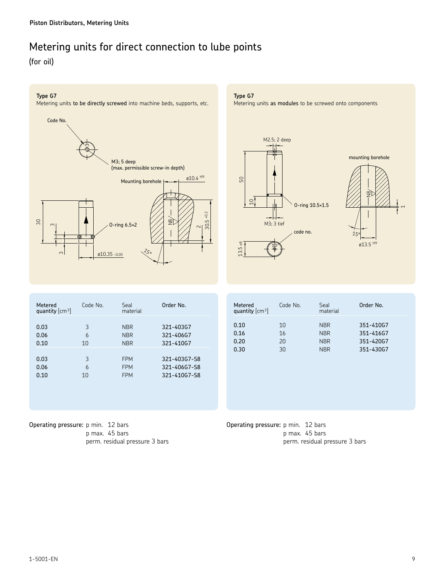## Metering units for direct connection to lube points

(for oil)

#### **Type G7**



**Type G7**

Metering units as modules to be screwed onto components







| Metered<br>quantity $\lceil$ cm <sup>3</sup> $\rceil$ | Code No. | Seal<br>material | Order No.    |
|-------------------------------------------------------|----------|------------------|--------------|
|                                                       |          |                  |              |
| 0.03                                                  | 3        | <b>NBR</b>       | 321-40367    |
| 0.06                                                  | 6        | <b>NBR</b>       | 321-40667    |
| 0.10                                                  | 10       | <b>NBR</b>       | 321-410G7    |
|                                                       |          |                  |              |
| 0.03                                                  | 3        | <b>FPM</b>       | 321-40367-58 |
| 0.06                                                  | 6        | <b>FPM</b>       | 321-406G7-S8 |
| 0.10                                                  | 10       | <b>FPM</b>       | 321-41067-58 |
|                                                       |          |                  |              |
|                                                       |          |                  |              |
|                                                       |          |                  |              |

| Metered<br>quantity $\text{cm}^3$ | Code No.       | Seal<br>material                       | Order No.                           |
|-----------------------------------|----------------|----------------------------------------|-------------------------------------|
| 0.10<br>0.16<br>0.20              | 10<br>16<br>20 | <b>NBR</b><br><b>NBR</b><br><b>NBR</b> | 351-410G7<br>351-41667<br>351-420G7 |
| 0.30                              | 30             | <b>NBR</b>                             | 351-430G7                           |

Operating pressure: p min. 12 bars p max. 45 bars perm. residual pressure 3 bars Operating pressure: p min. 12 bars p max. 45 bars perm. residual pressure 3 bars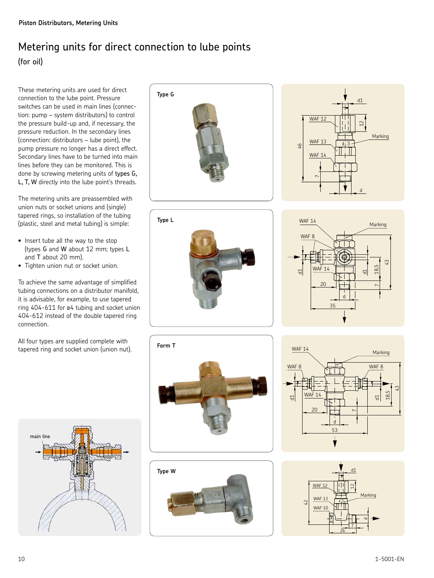## Metering units for direct connection to lube points (for oil)

These metering units are used for direct connection to the lube point. Pressure switches can be used in main lines (connection: pump – system distributors) to control the pressure build-up and, if necessary, the pressure reduction. In the secondary lines (connection: distributors – lube point), the pump pressure no longer has a direct effect. Secondary lines have to be turned into main lines before they can be monitored. This is done by screwing metering units of types G, L, T, W directly into the lube point's threads.

The metering units are preassembled with union nuts or socket unions and (single) tapered rings, so installation of the tubing (plastic, steel and metal tubing) is simple:

- Insert tube all the way to the stop (types G and W about 12 mm; types L and T about 20 mm).
- Tighten union nut or socket union.

To achieve the same advantage of simplified tubing connections on a distributor manifold, it is advisable, for example, to use tapered ring 404-611 for ø4 tubing and socket union 404-612 instead of the double tapered ring connection.

All four types are supplied complete with tapered ring and socket union (union nut).

















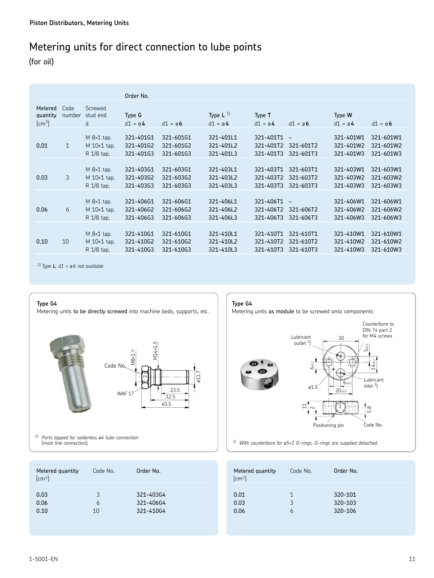## Metering units for direct connection to lube points

(for oil)

|                                    |                |                                                             | Order No.                           |                                     |                                     |                                     |                                                    |                                     |                                     |
|------------------------------------|----------------|-------------------------------------------------------------|-------------------------------------|-------------------------------------|-------------------------------------|-------------------------------------|----------------------------------------------------|-------------------------------------|-------------------------------------|
| Metered<br>quantity<br>$\rm[cm^3]$ | Code<br>number | Screwed<br>stud end<br>d                                    | Type G<br>$d1 = \emptyset$ 4        | $d1 = \emptyset$ 6                  | Type $L^{1}$<br>$d1 = \emptyset$ 4  | Type T<br>$d1 = \emptyset$ 4        | $d1 = \emptyset 6$                                 | Type W<br>$d1 = \emptyset$ 4        | $d1 = \emptyset 6$                  |
| 0,01                               | $\mathbf{1}$   | $M$ $8\times1$ tap.<br>$M$ 10 $\times$ 1 tap.<br>R 1/8 tap. | 321-40161<br>321-40162<br>321-40163 | 321-60161<br>321-60162<br>321-60163 | 321-401L1<br>321-401L2<br>321-401L3 | 321-401T1<br>321-401T2<br>321-401T3 | $\qquad \qquad -$<br>321-601T2<br>321-601T3        | 321-401W1<br>321-401W2<br>321-401W3 | 321-601W1<br>321-601W2<br>321-601W3 |
| 0.03                               | 3              | $M$ $8\times1$ tap.<br>$M$ 10 $\times$ 1 tap.<br>R 1/8 tap. | 321-40361<br>321-40362<br>321-40363 | 321-60361<br>321-60362<br>321-60363 | 321-403L1<br>321-403L2<br>321-403L3 | 321-403T1<br>321-403T2<br>321-403T3 | 321-603T1<br>321-603T2<br>321-603T3                | 321-403W1<br>321-403W2<br>321-403W3 | 321-603W1<br>321-603W2<br>321-603W3 |
| 0.06                               | 6              | $M$ $8\times1$ tap.<br>$M$ 10 $\times$ 1 tap.<br>R 1/8 tap. | 321-40661<br>321-406G2<br>321-40663 | 321-60661<br>321-606G2<br>321-606G3 | 321-406L1<br>321-406L2<br>321-406L3 | 321-406T1<br>321-406T2<br>321-406T3 | $\overline{\phantom{a}}$<br>321-606T2<br>321-606T3 | 321-406W1<br>321-406W2<br>321-406W3 | 321-606W1<br>321-606W2<br>321-606W3 |
| 0.10                               | 10             | $M$ $8\times1$ tap.<br>$M$ 10 $\times$ 1 tap.<br>R 1/8 tap. | 321-410G1<br>321-410G2<br>321-41063 | 321-610G1<br>321-610G2<br>321-61063 | 321-410L1<br>321-410L2<br>321-410L3 | 321-410T1<br>321-410T2<br>321-410T3 | 321-610T1<br>321-610T2<br>321-610T3                | 321-410W1<br>321-410W2<br>321-410W3 | 321-610W1<br>321-610W2<br>321-610W3 |

*1) Type L, d1 = ø 6 not available*

#### **Type G4**

Metering units to be directly screwed into machine beds, supports, etc.



*2) Ports tapped for solderless ø4 tube connection* 

| Metered quantity<br>[cm <sup>3</sup> ] | Code No. | Order No. |
|----------------------------------------|----------|-----------|
| 0.03                                   | 3        | 321-40364 |
| 0.06                                   | 6        | 321-406G4 |
| 0.10                                   | 10       | 321-410G4 |



*(main line connection). 3) With counterbore for ø5×1 O-rings. O-rings are supplied detached.*

| Metered quantity<br>$\text{cm}^3$ | Code No. | Order No. |
|-----------------------------------|----------|-----------|
| 0.01                              | 1        | 320-101   |
| 0.03                              | 3        | 320-103   |
| 0.06                              | 6        | 320-106   |